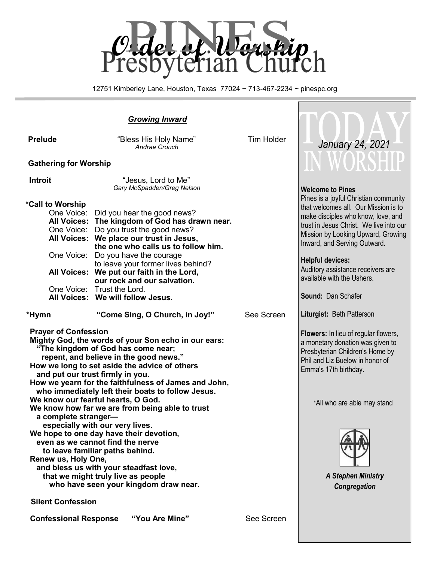

12751 Kimberley Lane, Houston, Texas 77024 ~ 713-467-2234 ~ pinespc.org

# *Growing Inward*

| <b>Prelude</b>                                      | "Bless His Holy Name"<br>Andrae Crouch                                                                                                                                                                                                                                                                                                                                                                                                                                                                       | <b>Tim Holder</b> | January 24, 2021                                                                                                                                                                                                                                                                                                                                         |
|-----------------------------------------------------|--------------------------------------------------------------------------------------------------------------------------------------------------------------------------------------------------------------------------------------------------------------------------------------------------------------------------------------------------------------------------------------------------------------------------------------------------------------------------------------------------------------|-------------------|----------------------------------------------------------------------------------------------------------------------------------------------------------------------------------------------------------------------------------------------------------------------------------------------------------------------------------------------------------|
| <b>Gathering for Worship</b>                        |                                                                                                                                                                                                                                                                                                                                                                                                                                                                                                              |                   | IN WORSHIP                                                                                                                                                                                                                                                                                                                                               |
| <b>Introit</b>                                      | "Jesus, Lord to Me"<br>Gary McSpadden/Greg Nelson                                                                                                                                                                                                                                                                                                                                                                                                                                                            |                   | <b>Welcome to Pines</b>                                                                                                                                                                                                                                                                                                                                  |
| *Call to Worship<br>One Voice:                      | One Voice: Did you hear the good news?<br>All Voices: The kingdom of God has drawn near.<br>One Voice: Do you trust the good news?<br>All Voices: We place our trust in Jesus,<br>the one who calls us to follow him.<br>Do you have the courage<br>to leave your former lives behind?<br>All Voices: We put our faith in the Lord,<br>our rock and our salvation.<br>One Voice: Trust the Lord.<br>All Voices: We will follow Jesus.                                                                        |                   | Pines is a joyful Christian community<br>that welcomes all. Our Mission is to<br>make disciples who know, love, and<br>trust in Jesus Christ. We live into our<br>Mission by Looking Upward, Growing<br>Inward, and Serving Outward.<br><b>Helpful devices:</b><br>Auditory assistance receivers are<br>available with the Ushers.<br>Sound: Dan Schafer |
| *Hymn                                               | "Come Sing, O Church, in Joy!"                                                                                                                                                                                                                                                                                                                                                                                                                                                                               | See Screen        | Liturgist: Beth Patterson                                                                                                                                                                                                                                                                                                                                |
| <b>Prayer of Confession</b><br>a complete stranger- | Mighty God, the words of your Son echo in our ears:<br>"The kingdom of God has come near;<br>repent, and believe in the good news."<br>How we long to set aside the advice of others<br>and put our trust firmly in you.<br>How we yearn for the faithfulness of James and John,<br>who immediately left their boats to follow Jesus.<br>We know our fearful hearts, O God.<br>We know how far we are from being able to trust<br>especially with our very lives.<br>We hope to one day have their devotion, |                   | Flowers: In lieu of regular flowers,<br>a monetary donation was given to<br>Presbyterian Children's Home by<br>Phil and Liz Buelow in honor of<br>Emma's 17th birthday.<br>*All who are able may stand                                                                                                                                                   |
| Renew us, Holy One,                                 | even as we cannot find the nerve<br>to leave familiar paths behind.<br>and bless us with your steadfast love,<br>that we might truly live as people<br>who have seen your kingdom draw near.                                                                                                                                                                                                                                                                                                                 |                   | <b>A Stephen Ministry</b><br>Congregation                                                                                                                                                                                                                                                                                                                |
| <b>Silent Confession</b>                            |                                                                                                                                                                                                                                                                                                                                                                                                                                                                                                              |                   |                                                                                                                                                                                                                                                                                                                                                          |
| <b>Confessional Response</b>                        | "You Are Mine"                                                                                                                                                                                                                                                                                                                                                                                                                                                                                               | See Screen        |                                                                                                                                                                                                                                                                                                                                                          |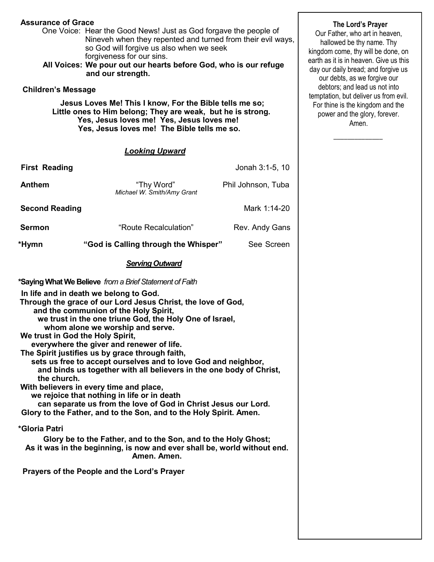### **Assurance of Grace**

 One Voice: Hear the Good News! Just as God forgave the people of Nineveh when they repented and turned from their evil ways, so God will forgive us also when we seek forgiveness for our sins.

 **All Voices: We pour out our hearts before God, who is our refuge and our strength.**

#### **Children's Message**

 **Jesus Loves Me! This I know, For the Bible tells me so; Little ones to Him belong; They are weak, but he is strong. Yes, Jesus loves me! Yes, Jesus loves me! Yes, Jesus loves me! The Bible tells me so.**

#### *Looking Upward*

| <b>First Reading</b>                                                                                                                                                                                                                                                                                                                                                                                                                                                                                                                                                                                                                                                                                                                                                                                                                                                                                                                                                                                                  |                                          | Jonah 3:1-5, 10    |  |  |
|-----------------------------------------------------------------------------------------------------------------------------------------------------------------------------------------------------------------------------------------------------------------------------------------------------------------------------------------------------------------------------------------------------------------------------------------------------------------------------------------------------------------------------------------------------------------------------------------------------------------------------------------------------------------------------------------------------------------------------------------------------------------------------------------------------------------------------------------------------------------------------------------------------------------------------------------------------------------------------------------------------------------------|------------------------------------------|--------------------|--|--|
| <b>Anthem</b>                                                                                                                                                                                                                                                                                                                                                                                                                                                                                                                                                                                                                                                                                                                                                                                                                                                                                                                                                                                                         | "Thy Word"<br>Michael W. Smith/Amy Grant | Phil Johnson, Tuba |  |  |
| <b>Second Reading</b>                                                                                                                                                                                                                                                                                                                                                                                                                                                                                                                                                                                                                                                                                                                                                                                                                                                                                                                                                                                                 |                                          | Mark 1:14-20       |  |  |
| <b>Sermon</b>                                                                                                                                                                                                                                                                                                                                                                                                                                                                                                                                                                                                                                                                                                                                                                                                                                                                                                                                                                                                         | "Route Recalculation"                    | Rev. Andy Gans     |  |  |
| *Hymn                                                                                                                                                                                                                                                                                                                                                                                                                                                                                                                                                                                                                                                                                                                                                                                                                                                                                                                                                                                                                 | "God is Calling through the Whisper"     | See Screen         |  |  |
|                                                                                                                                                                                                                                                                                                                                                                                                                                                                                                                                                                                                                                                                                                                                                                                                                                                                                                                                                                                                                       | <b>Serving Outward</b>                   |                    |  |  |
| *Saying What We Believe from a Brief Statement of Faith<br>In life and in death we belong to God.<br>Through the grace of our Lord Jesus Christ, the love of God,<br>and the communion of the Holy Spirit,<br>we trust in the one triune God, the Holy One of Israel,<br>whom alone we worship and serve.<br>We trust in God the Holy Spirit,<br>everywhere the giver and renewer of life.<br>The Spirit justifies us by grace through faith,<br>sets us free to accept ourselves and to love God and neighbor,<br>and binds us together with all believers in the one body of Christ,<br>the church.<br>With believers in every time and place,<br>we rejoice that nothing in life or in death<br>can separate us from the love of God in Christ Jesus our Lord.<br>Glory to the Father, and to the Son, and to the Holy Spirit. Amen.<br>*Gloria Patri<br>Glory be to the Father, and to the Son, and to the Holy Ghost;<br>As it was in the beginning, is now and ever shall be, world without end.<br>Amen. Amen. |                                          |                    |  |  |
| Prayers of the People and the Lord's Prayer                                                                                                                                                                                                                                                                                                                                                                                                                                                                                                                                                                                                                                                                                                                                                                                                                                                                                                                                                                           |                                          |                    |  |  |

#### **The Lord's Prayer**

Our Father, who art in heaven, hallowed be thy name. Thy kingdom come, thy will be done, on earth as it is in heaven. Give us this day our daily bread; and forgive us our debts, as we forgive our debtors; and lead us not into temptation, but deliver us from evil. For thine is the kingdom and the power and the glory, forever. Amen.

 $\overline{\phantom{a}}$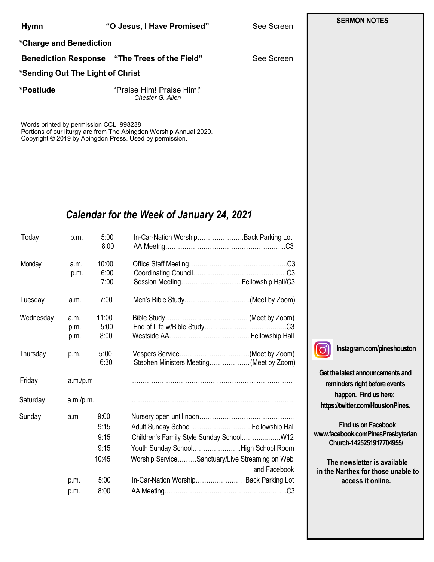| Hymn                    | "O Jesus, I Have Promis |  |
|-------------------------|-------------------------|--|
| *Charge and Benediction |                         |  |

**Benediction Response "The Trees of the Field"** See Screen

#### **\*Sending Out The Light of Christ**

**\*Postlude** "Praise Him! Praise Him!" *Chester G. Allen*

Words printed by permission CCLI 998238 Portions of our liturgy are from The Abingdon Worship Annual 2020. Copyright © 2019 by Abingdon Press. Used by permission. 

# *Calendar for the Week of January 24, 2021*

| Today     | p.m.                 | 5:00<br>8:00                          | In-Car-Nation WorshipBack Parking Lot                                                                                                         |
|-----------|----------------------|---------------------------------------|-----------------------------------------------------------------------------------------------------------------------------------------------|
| Monday    | a.m.<br>p.m.         | 10:00<br>6:00<br>7:00                 | Session Meeting Fellowship Hall/C3                                                                                                            |
| Tuesday   | a.m.                 | 7:00                                  | Men's Bible Study(Meet by Zoom)                                                                                                               |
| Wednesday | a.m.<br>p.m.<br>p.m. | 11:00<br>5:00<br>8:00                 |                                                                                                                                               |
| Thursday  | p.m.                 | 5:00<br>6:30                          | Stephen Ministers Meeting(Meet by Zoom)                                                                                                       |
| Friday    | a.m./p.m             |                                       |                                                                                                                                               |
| Saturday  | a.m./p.m.            |                                       |                                                                                                                                               |
| Sunday    | a.m                  | 9:00<br>9:15<br>9:15<br>9:15<br>10:45 | Adult Sunday School  Fellowship Hall<br>Youth Sunday SchoolHigh School Room<br>Worship ServiceSanctuary/Live Streaming on Web<br>and Facebook |
|           | p.m.                 | 5:00                                  | In-Car-Nation Worship Back Parking Lot                                                                                                        |
|           | p.m.                 | 8:00                                  |                                                                                                                                               |

 $\overline{1}$ 

**Instagram.com/pineshouston**

**Get the latest announcements and reminders right before events happen. Find us here: https://twitter.com/HoustonPines.** 

 **Find us on Facebook www.facebook.comPinesPresbyterian Church-1425251917704955/**

 **The newsletter is available in the Narthex for those unable to access it online.**

## **SERMON NOTES**